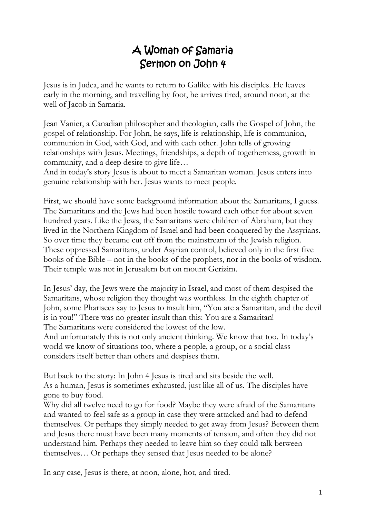## A Woman of Samaria Sermon on John 4

Jesus is in Judea, and he wants to return to Galilee with his disciples. He leaves early in the morning, and travelling by foot, he arrives tired, around noon, at the well of Jacob in Samaria.

Jean Vanier, a Canadian philosopher and theologian, calls the Gospel of John, the gospel of relationship. For John, he says, life is relationship, life is communion, communion in God, with God, and with each other. John tells of growing relationships with Jesus. Meetings, friendships, a depth of togetherness, growth in community, and a deep desire to give life…

And in today's story Jesus is about to meet a Samaritan woman. Jesus enters into genuine relationship with her. Jesus wants to meet people.

First, we should have some background information about the Samaritans, I guess. The Samaritans and the Jews had been hostile toward each other for about seven hundred years. Like the Jews, the Samaritans were children of Abraham, but they lived in the Northern Kingdom of Israel and had been conquered by the Assyrians. So over time they became cut off from the mainstream of the Jewish religion. These oppressed Samaritans, under Asyrian control, believed only in the first five books of the Bible – not in the books of the prophets, nor in the books of wisdom. Their temple was not in Jerusalem but on mount Gerizim.

In Jesus' day, the Jews were the majority in Israel, and most of them despised the Samaritans, whose religion they thought was worthless. In the eighth chapter of John, some Pharisees say to Jesus to insult him, "You are a Samaritan, and the devil is in you!" There was no greater insult than this: You are a Samaritan! The Samaritans were considered the lowest of the low.

And unfortunately this is not only ancient thinking. We know that too. In today's world we know of situations too, where a people, a group, or a social class considers itself better than others and despises them.

But back to the story: In John 4 Jesus is tired and sits beside the well. As a human, Jesus is sometimes exhausted, just like all of us. The disciples have gone to buy food.

Why did all twelve need to go for food? Maybe they were afraid of the Samaritans and wanted to feel safe as a group in case they were attacked and had to defend themselves. Or perhaps they simply needed to get away from Jesus? Between them and Jesus there must have been many moments of tension, and often they did not understand him. Perhaps they needed to leave him so they could talk between themselves… Or perhaps they sensed that Jesus needed to be alone?

In any case, Jesus is there, at noon, alone, hot, and tired.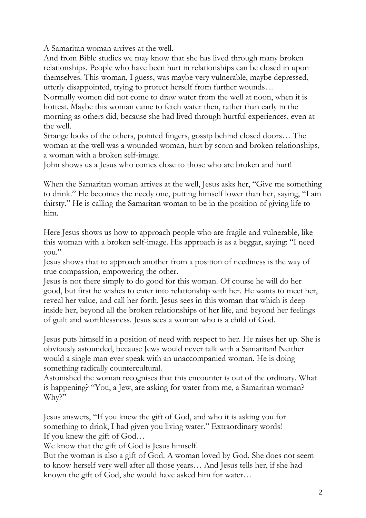A Samaritan woman arrives at the well.

And from Bible studies we may know that she has lived through many broken relationships. People who have been hurt in relationships can be closed in upon themselves. This woman, I guess, was maybe very vulnerable, maybe depressed, utterly disappointed, trying to protect herself from further wounds…

Normally women did not come to draw water from the well at noon, when it is hottest. Maybe this woman came to fetch water then, rather than early in the morning as others did, because she had lived through hurtful experiences, even at the well.

Strange looks of the others, pointed fingers, gossip behind closed doors… The woman at the well was a wounded woman, hurt by scorn and broken relationships, a woman with a broken self-image.

John shows us a Jesus who comes close to those who are broken and hurt!

When the Samaritan woman arrives at the well, Jesus asks her, "Give me something to drink." He becomes the needy one, putting himself lower than her, saying, "I am thirsty." He is calling the Samaritan woman to be in the position of giving life to him.

Here Jesus shows us how to approach people who are fragile and vulnerable, like this woman with a broken self-image. His approach is as a beggar, saying: "I need you."

Jesus shows that to approach another from a position of neediness is the way of true compassion, empowering the other.

Jesus is not there simply to do good for this woman. Of course he will do her good, but first he wishes to enter into relationship with her. He wants to meet her, reveal her value, and call her forth. Jesus sees in this woman that which is deep inside her, beyond all the broken relationships of her life, and beyond her feelings of guilt and worthlessness. Jesus sees a woman who is a child of God.

Jesus puts himself in a position of need with respect to her. He raises her up. She is obviously astounded, because Jews would never talk with a Samaritan! Neither would a single man ever speak with an unaccompanied woman. He is doing something radically countercultural.

Astonished the woman recognises that this encounter is out of the ordinary. What is happening? "You, a Jew, are asking for water from me, a Samaritan woman? Why?"

Jesus answers, "If you knew the gift of God, and who it is asking you for something to drink, I had given you living water." Extraordinary words! If you knew the gift of God…

We know that the gift of God is Jesus himself.

But the woman is also a gift of God. A woman loved by God. She does not seem to know herself very well after all those years… And Jesus tells her, if she had known the gift of God, she would have asked him for water…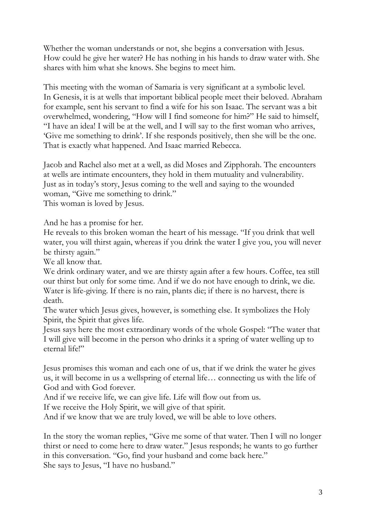Whether the woman understands or not, she begins a conversation with Jesus. How could he give her water? He has nothing in his hands to draw water with. She shares with him what she knows. She begins to meet him.

This meeting with the woman of Samaria is very significant at a symbolic level. In Genesis, it is at wells that important biblical people meet their beloved. Abraham for example, sent his servant to find a wife for his son Isaac. The servant was a bit overwhelmed, wondering, "How will I find someone for him?" He said to himself, "I have an idea! I will be at the well, and I will say to the first woman who arrives, 'Give me something to drink'. If she responds positively, then she will be the one. That is exactly what happened. And Isaac married Rebecca.

Jacob and Rachel also met at a well, as did Moses and Zipphorah. The encounters at wells are intimate encounters, they hold in them mutuality and vulnerability. Just as in today's story, Jesus coming to the well and saying to the wounded woman, "Give me something to drink." This woman is loved by Jesus.

And he has a promise for her.

He reveals to this broken woman the heart of his message. "If you drink that well water, you will thirst again, whereas if you drink the water I give you, you will never be thirsty again."

We all know that.

We drink ordinary water, and we are thirsty again after a few hours. Coffee, tea still our thirst but only for some time. And if we do not have enough to drink, we die. Water is life-giving. If there is no rain, plants die; if there is no harvest, there is death.

The water which Jesus gives, however, is something else. It symbolizes the Holy Spirit, the Spirit that gives life.

Jesus says here the most extraordinary words of the whole Gospel: "The water that I will give will become in the person who drinks it a spring of water welling up to eternal life!"

Jesus promises this woman and each one of us, that if we drink the water he gives us, it will become in us a wellspring of eternal life… connecting us with the life of God and with God forever.

And if we receive life, we can give life. Life will flow out from us.

If we receive the Holy Spirit, we will give of that spirit.

And if we know that we are truly loved, we will be able to love others.

In the story the woman replies, "Give me some of that water. Then I will no longer thirst or need to come here to draw water." Jesus responds; he wants to go further in this conversation. "Go, find your husband and come back here." She says to Jesus, "I have no husband."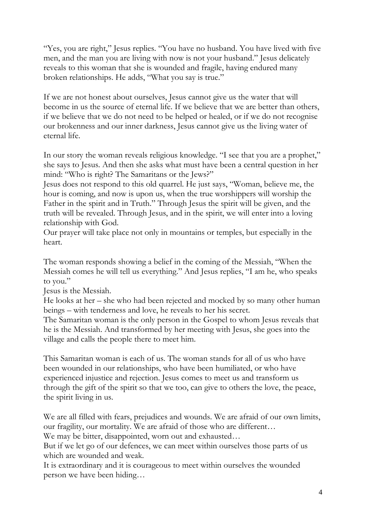"Yes, you are right," Jesus replies. "You have no husband. You have lived with five men, and the man you are living with now is not your husband." Jesus delicately reveals to this woman that she is wounded and fragile, having endured many broken relationships. He adds, "What you say is true."

If we are not honest about ourselves, Jesus cannot give us the water that will become in us the source of eternal life. If we believe that we are better than others, if we believe that we do not need to be helped or healed, or if we do not recognise our brokenness and our inner darkness, Jesus cannot give us the living water of eternal life.

In our story the woman reveals religious knowledge. "I see that you are a prophet," she says to Jesus. And then she asks what must have been a central question in her mind: "Who is right? The Samaritans or the Jews?"

Jesus does not respond to this old quarrel. He just says, "Woman, believe me, the hour is coming, and now is upon us, when the true worshippers will worship the Father in the spirit and in Truth." Through Jesus the spirit will be given, and the truth will be revealed. Through Jesus, and in the spirit, we will enter into a loving relationship with God.

Our prayer will take place not only in mountains or temples, but especially in the heart.

The woman responds showing a belief in the coming of the Messiah, "When the Messiah comes he will tell us everything." And Jesus replies, "I am he, who speaks to you."

Jesus is the Messiah.

He looks at her – she who had been rejected and mocked by so many other human beings – with tenderness and love, he reveals to her his secret.

The Samaritan woman is the only person in the Gospel to whom Jesus reveals that he is the Messiah. And transformed by her meeting with Jesus, she goes into the village and calls the people there to meet him.

This Samaritan woman is each of us. The woman stands for all of us who have been wounded in our relationships, who have been humiliated, or who have experienced injustice and rejection. Jesus comes to meet us and transform us through the gift of the spirit so that we too, can give to others the love, the peace, the spirit living in us.

We are all filled with fears, prejudices and wounds. We are afraid of our own limits, our fragility, our mortality. We are afraid of those who are different…

We may be bitter, disappointed, worn out and exhausted...

But if we let go of our defences, we can meet within ourselves those parts of us which are wounded and weak.

It is extraordinary and it is courageous to meet within ourselves the wounded person we have been hiding…